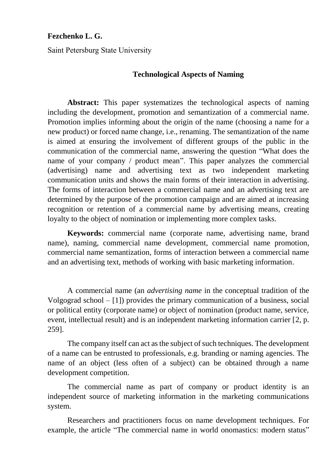## **Fezchenko L. G.**

Saint Petersburg State University

## **Technological Aspects of Naming**

**Abstract:** This paper systematizes the technological aspects of naming including the development, promotion and semantization of a commercial name. Promotion implies informing about the origin of the name (choosing a name for a new product) or forced name change, i.e., renaming. The semantization of the name is aimed at ensuring the involvement of different groups of the public in the communication of the commercial name, answering the question "What does the name of your company / product mean". This paper analyzes the commercial (advertising) name and advertising text as two independent marketing communication units and shows the main forms of their interaction in advertising. The forms of interaction between a commercial name and an advertising text are determined by the purpose of the promotion campaign and are aimed at increasing recognition or retention of a commercial name by advertising means, creating loyalty to the object of nomination or implementing more complex tasks.

**Keywords:** commercial name (corporate name, advertising name, brand name), naming, commercial name development, commercial name promotion, commercial name semantization, forms of interaction between a commercial name and an advertising text, methods of working with basic marketing information.

A commercial name (an *advertising name* in the conceptual tradition of the Volgograd school  $-$  [1]) provides the primary communication of a business, social or political entity (corporate name) or object of nomination (product name, service, event, intellectual result) and is an independent marketing information carrier [2, p. 259].

The company itself can act as the subject of such techniques. The development of a name can be entrusted to professionals, e.g. branding or naming agencies. The name of an object (less often of a subject) can be obtained through a name development competition.

The commercial name as part of company or product identity is an independent source of marketing information in the marketing communications system.

Researchers and practitioners focus on name development techniques. For example, the article "The commercial name in world onomastics: modern status"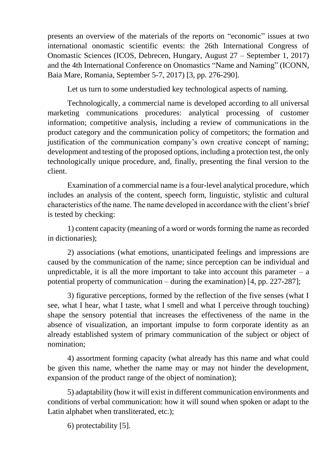presents an overview of the materials of the reports on "economic" issues at two international onomastic scientific events: the 26th International Congress of Onomastic Sciences (ICOS, Debrecen, Hungary, August 27 – September 1, 2017) and the 4th International Conference on Onomastics "Name and Naming" (ICONN, Baia Mare, Romania, September 5-7, 2017) [3, pp. 276-290].

Let us turn to some understudied key technological aspects of naming.

Technologically, a commercial name is developed according to all universal marketing communications procedures: analytical processing of customer information; competitive analysis, including a review of communications in the product category and the communication policy of competitors; the formation and justification of the communication company's own creative concept of naming; development and testing of the proposed options, including a protection test, the only technologically unique procedure, and, finally, presenting the final version to the client.

Examination of a commercial name is a four-level analytical procedure, which includes an analysis of the content, speech form, linguistic, stylistic and cultural characteristics of the name. The name developed in accordance with the client's brief is tested by checking:

1) content capacity (meaning of a word or words forming the name as recorded in dictionaries);

2) associations (what emotions, unanticipated feelings and impressions are caused by the communication of the name; since perception can be individual and unpredictable, it is all the more important to take into account this parameter  $-$  a potential property of communication – during the examination) [4, pp. 227-287];

3) figurative perceptions, formed by the reflection of the five senses (what I see, what I hear, what I taste, what I smell and what I perceive through touching) shape the sensory potential that increases the effectiveness of the name in the absence of visualization, an important impulse to form corporate identity as an already established system of primary communication of the subject or object of nomination;

4) assortment forming capacity (what already has this name and what could be given this name, whether the name may or may not hinder the development, expansion of the product range of the object of nomination);

5) adaptability (how it will exist in different communication environments and conditions of verbal communication: how it will sound when spoken or adapt to the Latin alphabet when transliterated, etc.);

6) protectability [5].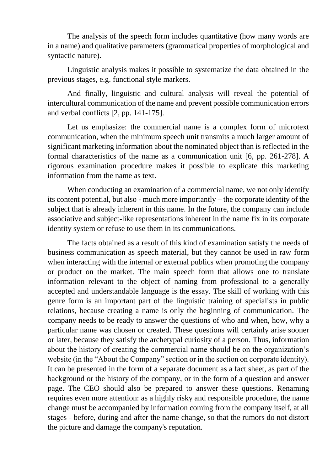The analysis of the speech form includes quantitative (how many words are in a name) and qualitative parameters (grammatical properties of morphological and syntactic nature).

Linguistic analysis makes it possible to systematize the data obtained in the previous stages, e.g. functional style markers.

And finally, linguistic and cultural analysis will reveal the potential of intercultural communication of the name and prevent possible communication errors and verbal conflicts [2, pp. 141-175].

Let us emphasize: the commercial name is a complex form of microtext communication, when the minimum speech unit transmits a much larger amount of significant marketing information about the nominated object than is reflected in the formal characteristics of the name as a communication unit [6, pp. 261-278]. A rigorous examination procedure makes it possible to explicate this marketing information from the name as text.

When conducting an examination of a commercial name, we not only identify its content potential, but also - much more importantly – the corporate identity of the subject that is already inherent in this name. In the future, the company can include associative and subject-like representations inherent in the name fix in its corporate identity system or refuse to use them in its communications.

The facts obtained as a result of this kind of examination satisfy the needs of business communication as speech material, but they cannot be used in raw form when interacting with the internal or external publics when promoting the company or product on the market. The main speech form that allows one to translate information relevant to the object of naming from professional to a generally accepted and understandable language is the essay. The skill of working with this genre form is an important part of the linguistic training of specialists in public relations, because creating a name is only the beginning of communication. The company needs to be ready to answer the questions of who and when, how, why a particular name was chosen or created. These questions will certainly arise sooner or later, because they satisfy the archetypal curiosity of a person. Thus, information about the history of creating the commercial name should be on the organization's website (in the "About the Company" section or in the section on corporate identity). It can be presented in the form of a separate document as a fact sheet, as part of the background or the history of the company, or in the form of a question and answer page. The CEO should also be prepared to answer these questions. Renaming requires even more attention: as a highly risky and responsible procedure, the name change must be accompanied by information coming from the company itself, at all stages - before, during and after the name change, so that the rumors do not distort the picture and damage the company's reputation.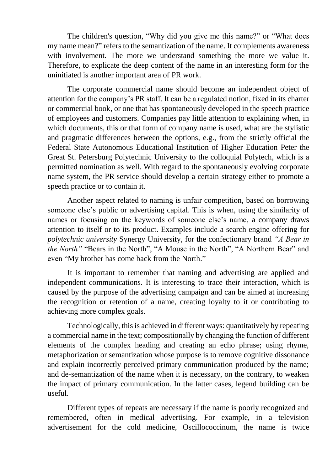The children's question, "Why did you give me this name?" or "What does my name mean?" refers to the semantization of the name. It complements awareness with involvement. The more we understand something the more we value it. Therefore, to explicate the deep content of the name in an interesting form for the uninitiated is another important area of PR work.

The corporate commercial name should become an independent object of attention for the company's PR staff. It can be a regulated notion, fixed in its charter or commercial book, or one that has spontaneously developed in the speech practice of employees and customers. Companies pay little attention to explaining when, in which documents, this or that form of company name is used, what are the stylistic and pragmatic differences between the options, e.g., from the strictly official the Federal State Autonomous Educational Institution of Higher Education Peter the Great St. Petersburg Polytechnic University to the colloquial Polytech, which is a permitted nomination as well. With regard to the spontaneously evolving corporate name system, the PR service should develop a certain strategy either to promote a speech practice or to contain it.

Another aspect related to naming is unfair competition, based on borrowing someone else's public or advertising capital. This is when, using the similarity of names or focusing on the keywords of someone else's name, a company draws attention to itself or to its product. Examples include a search engine offering for *polytechnic university* Synergy University, for the confectionary brand *"A Bear in the North*" "Bears in the North", "A Mouse in the North", "A Northern Bear" and even "My brother has come back from the North."

It is important to remember that naming and advertising are applied and independent communications. It is interesting to trace their interaction, which is caused by the purpose of the advertising campaign and can be aimed at increasing the recognition or retention of a name, creating loyalty to it or contributing to achieving more complex goals.

Technologically, this is achieved in different ways: quantitatively by repeating a commercial name in the text; compositionally by changing the function of different elements of the complex heading and creating an echo phrase; using rhyme, metaphorization or semantization whose purpose is to remove cognitive dissonance and explain incorrectly perceived primary communication produced by the name; and de-semantization of the name when it is necessary, on the contrary, to weaken the impact of primary communication. In the latter cases, legend building can be useful.

Different types of repeats are necessary if the name is poorly recognized and remembered, often in medical advertising. For example, in a television advertisement for the cold medicine, Oscillococcinum, the name is twice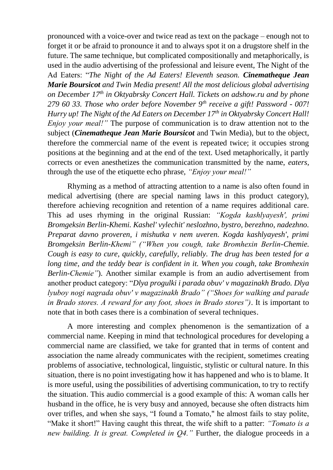pronounced with a voice-over and twice read as text on the package – enough not to forget it or be afraid to pronounce it and to always spot it on a drugstore shelf in the future. The same technique, but complicated compositionally and metaphorically, is used in the audio advertising of the professional and leisure event, The Night of the Ad Eaters: "*The Night of the Ad Eaters! Eleventh season. Cinematheque Jean Marie Boursicot and Twin Media present! All the most delicious global advertising on December 17th in Oktyabrsky Concert Hall. Tickets on adshow.ru and by phone 279 60 33. Those who order before November 9th receive a gift! Password - 007! Hurry up! The Night of the Ad Eaters on December 17th in Oktyabrsky Concert Hall! Enjoy your meal!*" The purpose of communication is to draw attention not to the subject (*Cinematheque Jean Marie Boursicot* and Twin Media), but to the object, therefore the commercial name of the event is repeated twice; it occupies strong positions at the beginning and at the end of the text. Used metaphorically, it partly corrects or even anesthetizes the communication transmitted by the name, *eaters,* through the use of the etiquette echo phrase, *"Enjoy your meal!"*

Rhyming as a method of attracting attention to a name is also often found in medical advertising (there are special naming laws in this product category), therefore achieving recognition and retention of a name requires additional care. This ad uses rhyming in the original Russian: *"Kogda kashlyayesh', primi Bromgeksin Berlin-Khemi. Kashel' vylechit' neslozhno, bystro, berezhno, nadezhno. Preparat davno proveren, i mishutka v nem uveren. Kogda kashlyayesh', primi Bromgeksin Berlin-Khemi" ("When you cough, take Bromhexin Berlin-Chemie. Cough is easy to cure, quickly, carefully, reliably. The drug has been tested for a*  long time, and the teddy bear is confident in it. When you cough, take Bromhexin *Berlin-Chemie"*). Another similar example is from an audio advertisement from another product category: "*Dlya progulki i parada obuv' v magazinakh Brado. Dlya lyuboy nogi nagrada obuv' v magazinakh Brado" ("Shoes for walking and parade in Brado stores. A reward for any foot, shoes in Brado stores")*. It is important to note that in both cases there is a combination of several techniques.

A more interesting and complex phenomenon is the semantization of a commercial name. Keeping in mind that technological procedures for developing a commercial name are classified, we take for granted that in terms of content and association the name already communicates with the recipient, sometimes creating problems of associative, technological, linguistic, stylistic or cultural nature. In this situation, there is no point investigating how it has happened and who is to blame. It is more useful, using the possibilities of advertising communication, to try to rectify the situation. This audio commercial is a good example of this: A woman calls her husband in the office, he is very busy and annoyed, because she often distracts him over trifles, and when she says, "I found a Tomato," he almost fails to stay polite, "Make it short!" Having caught this threat, the wife shift to a patter: *"Tomato is a new building. It is great. Completed in Q4."* Further, the dialogue proceeds in a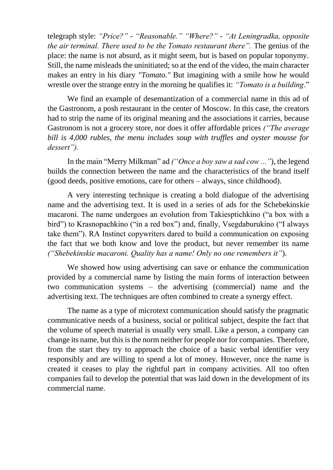telegraph style: *"Price?"* - *"Reasonable." "Where?"* - *"At Leningradka, opposite the air terminal. There used to be the Tomato restaurant there".* The genius of the place: the name is not absurd, as it might seem, but is based on popular toponymy. Still, the name misleads the uninitiated; so at the end of the video, the main character makes an entry in his diary *"Tomato."* But imagining with a smile how he would wrestle over the strange entry in the morning he qualifies it: *"Tomato is a building*."

We find an example of desemantization of a commercial name in this ad of the Gastronom, a posh restaurant in the center of Moscow*.* In this case, the creators had to strip the name of its original meaning and the associations it carries, because Gastronom is not a grocery store, nor does it offer affordable prices *("The average bill is 4,000 rubles, the menu includes soup with truffles and oyster mousse for dessert").*

In the main "Merry Milkman" ad *("Once a boy saw a sad cow ..."*), the legend builds the connection between the name and the characteristics of the brand itself (good deeds, positive emotions, care for others – always, since childhood).

A very interesting technique is creating a bold dialogue of the advertising name and the advertising text. It is used in a series of ads for the Schebekinskie macaroni. The name undergoes an evolution from Takiesptichkino ("a box with a bird") to Krasnopachkino ("in a red box") and, finally, Vsegdaburukino ("I always take them"). RA Instinct copywriters dared to build a communication on exposing the fact that we both know and love the product, but never remember its name *("Shebekinskie macaroni. Quality has a name! Only no one remembers it"*).

We showed how using advertising can save or enhance the communication provided by a commercial name by listing the main forms of interaction between two communication systems – the advertising (commercial) name and the advertising text. The techniques are often combined to create a synergy effect.

The name as a type of microtext communication should satisfy the pragmatic communicative needs of a business, social or political subject, despite the fact that the volume of speech material is usually very small. Like a person, a company can change its name, but this is the norm neither for people nor for companies. Therefore, from the start they try to approach the choice of a basic verbal identifier very responsibly and are willing to spend a lot of money. However, once the name is created it ceases to play the rightful part in company activities. All too often companies fail to develop the potential that was laid down in the development of its commercial name.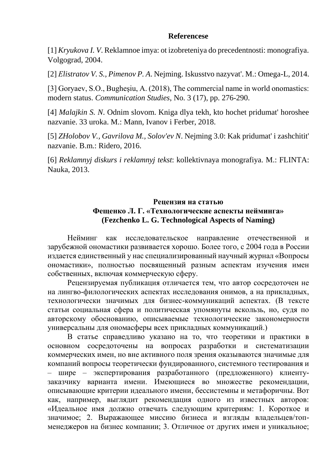#### **Referencese**

[1] *Kryukova I. V*. Reklamnoe imya: ot izobreteniya do precedentnosti: monografiya. Volgograd, 2004.

[2] *Еlistratov V. S., Pimenov P. A*. Nejming. Iskusstvo nazyvat'. M.: Omega-L, 2014.

[3] Goryaev, S.O., Bugheşiu, A. (2018), The commercial name in world onomastics: modern status. *Communication Studies*, No. 3 (17), pp. 276-290.

[4] *Malajkin S. N*. Odnim slovom. Kniga dlya tekh, kto hochet pridumat' horoshee nazvanie. 33 uroka. M.: Mann, Ivanov i Ferber, 2018.

[5] *ZHolobov V., Gavrilova M., Solov'ev N*. Nejming 3.0: Kak pridumat' i zashchitit' nazvanie. B.m.: Ridero, 2016.

[6] *Reklamnyj diskurs i reklamnyj tekst*: kollektivnaya monografiya. M.: FLINTA: Nauka, 2013.

### **Рецензия на статью**

# **Фещенко Л. Г. «Технологические аспекты нейминга» (Fezchenko L. G. Technological Aspects of Naming)**

Нейминг как исследовательское направление отечественной и зарубежной ономастики развивается хорошо. Более того, с 2004 года в России издается единственный у нас специализированный научный журнал «Вопросы ономастики», полностью посвященный разным аспектам изучения имен собственных, включая коммерческую сферу.

Рецензируемая публикация отличается тем, что автор сосредоточен не на лингво-филологических аспектах исследования онимов, а на прикладных, технологически значимых для бизнес-коммуникаций аспектах. (В тексте статьи социальная сфера и политическая упомянуты вскользь, но, судя по авторскому обоснованию, описываемые технологические закономерности универсальны для ономасферы всех прикладных коммуникаций.)

В статье справедливо указано на то, что теоретики и практики в основном сосредоточены на вопросах разработки и систематизации коммерческих имен, но вне активного поля зрения оказываются значимые для компаний вопросы теоретически фундированного, системного тестирования и – шире – экспертирования разработанного (предложенного) клиентузаказчику варианта имени. Имеющиеся во множестве рекомендации, описывающие критерии идеального имени, бессистемны и метафоричны. Вот как, например, выглядит рекомендация одного из известных авторов: «Идеальное имя должно отвечать следующим критериям: 1. Короткое и значимое; 2. Выражающее миссию бизнеса и взгляды владельцев/топменеджеров на бизнес компании; 3. Отличное от других имен и уникальное;